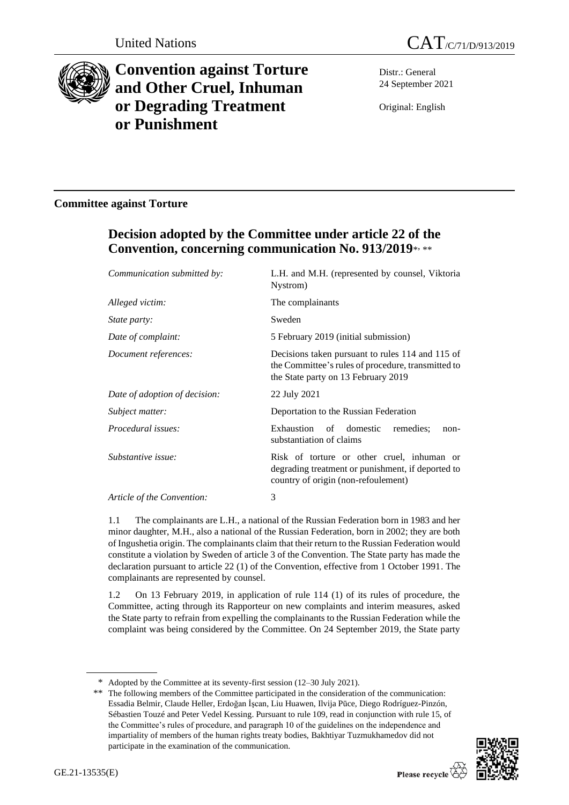



# **Convention against Torture and Other Cruel, Inhuman or Degrading Treatment or Punishment**

Distr.: General 24 September 2021

Original: English

# **Committee against Torture**

# **Decision adopted by the Committee under article 22 of the Convention, concerning communication No. 913/2019**\* , \*\*

| Communication submitted by:   | L.H. and M.H. (represented by counsel, Viktoria<br>Nystrom)                                                                                   |
|-------------------------------|-----------------------------------------------------------------------------------------------------------------------------------------------|
| Alleged victim:               | The complainants                                                                                                                              |
| <i>State party:</i>           | Sweden                                                                                                                                        |
| Date of complaint:            | 5 February 2019 (initial submission)                                                                                                          |
| Document references:          | Decisions taken pursuant to rules 114 and 115 of<br>the Committee's rules of procedure, transmitted to<br>the State party on 13 February 2019 |
| Date of adoption of decision: | 22 July 2021                                                                                                                                  |
| Subject matter:               | Deportation to the Russian Federation                                                                                                         |
| Procedural issues:            | Exhaustion of domestic<br>remedies;<br>non-<br>substantiation of claims                                                                       |
| Substantive issue:            | Risk of torture or other cruel, inhuman or<br>degrading treatment or punishment, if deported to<br>country of origin (non-refoulement)        |
| Article of the Convention:    | 3                                                                                                                                             |

1.1 The complainants are L.H., a national of the Russian Federation born in 1983 and her minor daughter, M.H., also a national of the Russian Federation, born in 2002; they are both of Ingushetia origin. The complainants claim that their return to the Russian Federation would constitute a violation by Sweden of article 3 of the Convention. The State party has made the declaration pursuant to article 22 (1) of the Convention, effective from 1 October 1991. The complainants are represented by counsel.

1.2 On 13 February 2019, in application of rule 114 (1) of its rules of procedure, the Committee, acting through its Rapporteur on new complaints and interim measures, asked the State party to refrain from expelling the complainants to the Russian Federation while the complaint was being considered by the Committee. On 24 September 2019, the State party

<sup>\*\*</sup> The following members of the Committee participated in the consideration of the communication: Essadia Belmir, Claude Heller, Erdoğan İşcan, Liu Huawen, Ilvija Pūce, Diego Rodríguez-Pinzón, Sébastien Touzé and Peter Vedel Kessing. Pursuant to rule 109, read in conjunction with rule 15, of the Committee's rules of procedure, and paragraph 10 of the guidelines on the independence and impartiality of members of the human rights treaty bodies, Bakhtiyar Tuzmukhamedov did not participate in the examination of the communication.



<sup>\*</sup> Adopted by the Committee at its seventy-first session (12–30 July 2021).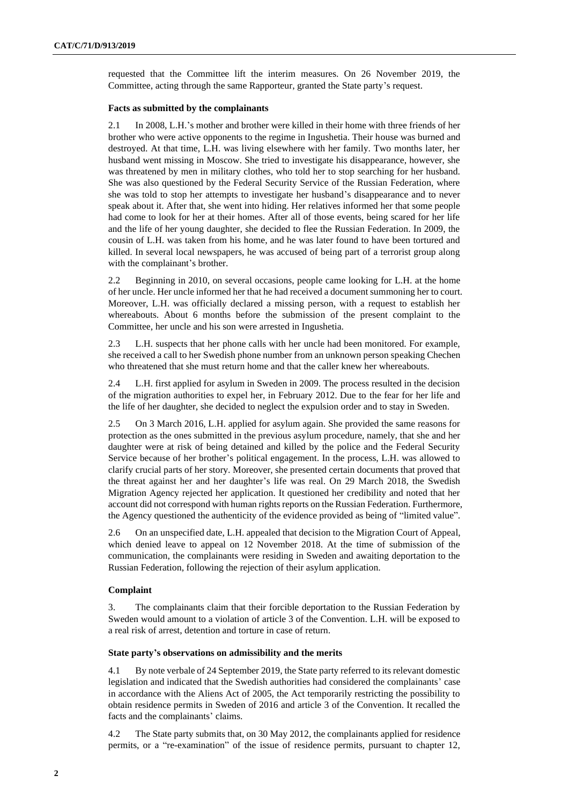requested that the Committee lift the interim measures. On 26 November 2019, the Committee, acting through the same Rapporteur, granted the State party's request.

## **Facts as submitted by the complainants**

2.1 In 2008, L.H.'s mother and brother were killed in their home with three friends of her brother who were active opponents to the regime in Ingushetia. Their house was burned and destroyed. At that time, L.H. was living elsewhere with her family. Two months later, her husband went missing in Moscow. She tried to investigate his disappearance, however, she was threatened by men in military clothes, who told her to stop searching for her husband. She was also questioned by the Federal Security Service of the Russian Federation, where she was told to stop her attempts to investigate her husband's disappearance and to never speak about it. After that, she went into hiding. Her relatives informed her that some people had come to look for her at their homes. After all of those events, being scared for her life and the life of her young daughter, she decided to flee the Russian Federation. In 2009, the cousin of L.H. was taken from his home, and he was later found to have been tortured and killed. In several local newspapers, he was accused of being part of a terrorist group along with the complainant's brother.

2.2 Beginning in 2010, on several occasions, people came looking for L.H. at the home of her uncle. Her uncle informed her that he had received a document summoning her to court. Moreover, L.H. was officially declared a missing person, with a request to establish her whereabouts. About 6 months before the submission of the present complaint to the Committee, her uncle and his son were arrested in Ingushetia.

2.3 L.H. suspects that her phone calls with her uncle had been monitored. For example, she received a call to her Swedish phone number from an unknown person speaking Chechen who threatened that she must return home and that the caller knew her whereabouts.

2.4 L.H. first applied for asylum in Sweden in 2009. The process resulted in the decision of the migration authorities to expel her, in February 2012. Due to the fear for her life and the life of her daughter, she decided to neglect the expulsion order and to stay in Sweden.

2.5 On 3 March 2016, L.H. applied for asylum again. She provided the same reasons for protection as the ones submitted in the previous asylum procedure, namely, that she and her daughter were at risk of being detained and killed by the police and the Federal Security Service because of her brother's political engagement. In the process, L.H. was allowed to clarify crucial parts of her story. Moreover, she presented certain documents that proved that the threat against her and her daughter's life was real. On 29 March 2018, the Swedish Migration Agency rejected her application. It questioned her credibility and noted that her account did not correspond with human rights reports on the Russian Federation. Furthermore, the Agency questioned the authenticity of the evidence provided as being of "limited value".

2.6 On an unspecified date, L.H. appealed that decision to the Migration Court of Appeal, which denied leave to appeal on 12 November 2018. At the time of submission of the communication, the complainants were residing in Sweden and awaiting deportation to the Russian Federation, following the rejection of their asylum application.

# **Complaint**

3. The complainants claim that their forcible deportation to the Russian Federation by Sweden would amount to a violation of article 3 of the Convention. L.H. will be exposed to a real risk of arrest, detention and torture in case of return.

# **State party's observations on admissibility and the merits**

4.1 By note verbale of 24 September 2019, the State party referred to its relevant domestic legislation and indicated that the Swedish authorities had considered the complainants' case in accordance with the Aliens Act of 2005, the Act temporarily restricting the possibility to obtain residence permits in Sweden of 2016 and article 3 of the Convention. It recalled the facts and the complainants' claims.

4.2 The State party submits that, on 30 May 2012, the complainants applied for residence permits, or a "re-examination" of the issue of residence permits, pursuant to chapter 12,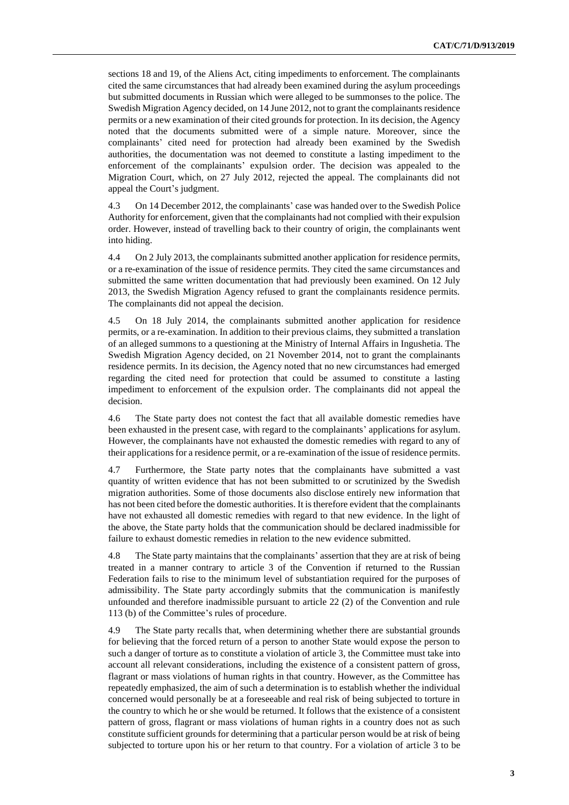sections 18 and 19, of the Aliens Act, citing impediments to enforcement. The complainants cited the same circumstances that had already been examined during the asylum proceedings but submitted documents in Russian which were alleged to be summonses to the police. The Swedish Migration Agency decided, on 14 June 2012, not to grant the complainants residence permits or a new examination of their cited grounds for protection. In its decision, the Agency noted that the documents submitted were of a simple nature. Moreover, since the complainants' cited need for protection had already been examined by the Swedish authorities, the documentation was not deemed to constitute a lasting impediment to the enforcement of the complainants' expulsion order. The decision was appealed to the Migration Court, which, on 27 July 2012, rejected the appeal. The complainants did not appeal the Court's judgment.

4.3 On 14 December 2012, the complainants' case was handed over to the Swedish Police Authority for enforcement, given that the complainants had not complied with their expulsion order. However, instead of travelling back to their country of origin, the complainants went into hiding.

4.4 On 2 July 2013, the complainants submitted another application for residence permits, or a re-examination of the issue of residence permits. They cited the same circumstances and submitted the same written documentation that had previously been examined. On 12 July 2013, the Swedish Migration Agency refused to grant the complainants residence permits. The complainants did not appeal the decision.

4.5 On 18 July 2014, the complainants submitted another application for residence permits, or a re-examination. In addition to their previous claims, they submitted a translation of an alleged summons to a questioning at the Ministry of Internal Affairs in Ingushetia. The Swedish Migration Agency decided, on 21 November 2014, not to grant the complainants residence permits. In its decision, the Agency noted that no new circumstances had emerged regarding the cited need for protection that could be assumed to constitute a lasting impediment to enforcement of the expulsion order. The complainants did not appeal the decision.

4.6 The State party does not contest the fact that all available domestic remedies have been exhausted in the present case, with regard to the complainants' applications for asylum. However, the complainants have not exhausted the domestic remedies with regard to any of their applications for a residence permit, or a re-examination of the issue of residence permits.

4.7 Furthermore, the State party notes that the complainants have submitted a vast quantity of written evidence that has not been submitted to or scrutinized by the Swedish migration authorities. Some of those documents also disclose entirely new information that has not been cited before the domestic authorities. It is therefore evident that the complainants have not exhausted all domestic remedies with regard to that new evidence. In the light of the above, the State party holds that the communication should be declared inadmissible for failure to exhaust domestic remedies in relation to the new evidence submitted.

4.8 The State party maintains that the complainants' assertion that they are at risk of being treated in a manner contrary to article 3 of the Convention if returned to the Russian Federation fails to rise to the minimum level of substantiation required for the purposes of admissibility. The State party accordingly submits that the communication is manifestly unfounded and therefore inadmissible pursuant to article 22 (2) of the Convention and rule 113 (b) of the Committee's rules of procedure.

4.9 The State party recalls that, when determining whether there are substantial grounds for believing that the forced return of a person to another State would expose the person to such a danger of torture as to constitute a violation of article 3, the Committee must take into account all relevant considerations, including the existence of a consistent pattern of gross, flagrant or mass violations of human rights in that country. However, as the Committee has repeatedly emphasized, the aim of such a determination is to establish whether the individual concerned would personally be at a foreseeable and real risk of being subjected to torture in the country to which he or she would be returned. It follows that the existence of a consistent pattern of gross, flagrant or mass violations of human rights in a country does not as such constitute sufficient grounds for determining that a particular person would be at risk of being subjected to torture upon his or her return to that country. For a violation of article 3 to be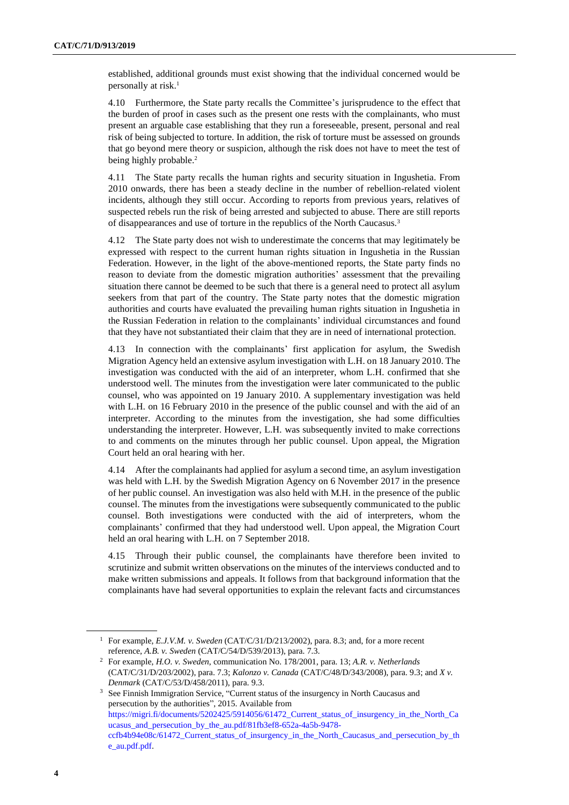established, additional grounds must exist showing that the individual concerned would be personally at risk.<sup>1</sup>

4.10 Furthermore, the State party recalls the Committee's jurisprudence to the effect that the burden of proof in cases such as the present one rests with the complainants, who must present an arguable case establishing that they run a foreseeable, present, personal and real risk of being subjected to torture. In addition, the risk of torture must be assessed on grounds that go beyond mere theory or suspicion, although the risk does not have to meet the test of being highly probable.<sup>2</sup>

4.11 The State party recalls the human rights and security situation in Ingushetia. From 2010 onwards, there has been a steady decline in the number of rebellion-related violent incidents, although they still occur. According to reports from previous years, relatives of suspected rebels run the risk of being arrested and subjected to abuse. There are still reports of disappearances and use of torture in the republics of the North Caucasus.<sup>3</sup>

4.12 The State party does not wish to underestimate the concerns that may legitimately be expressed with respect to the current human rights situation in Ingushetia in the Russian Federation. However, in the light of the above-mentioned reports, the State party finds no reason to deviate from the domestic migration authorities' assessment that the prevailing situation there cannot be deemed to be such that there is a general need to protect all asylum seekers from that part of the country. The State party notes that the domestic migration authorities and courts have evaluated the prevailing human rights situation in Ingushetia in the Russian Federation in relation to the complainants' individual circumstances and found that they have not substantiated their claim that they are in need of international protection.

4.13 In connection with the complainants' first application for asylum, the Swedish Migration Agency held an extensive asylum investigation with L.H. on 18 January 2010. The investigation was conducted with the aid of an interpreter, whom L.H. confirmed that she understood well. The minutes from the investigation were later communicated to the public counsel, who was appointed on 19 January 2010. A supplementary investigation was held with L.H. on 16 February 2010 in the presence of the public counsel and with the aid of an interpreter. According to the minutes from the investigation, she had some difficulties understanding the interpreter. However, L.H. was subsequently invited to make corrections to and comments on the minutes through her public counsel. Upon appeal, the Migration Court held an oral hearing with her.

4.14 After the complainants had applied for asylum a second time, an asylum investigation was held with L.H. by the Swedish Migration Agency on 6 November 2017 in the presence of her public counsel. An investigation was also held with M.H. in the presence of the public counsel. The minutes from the investigations were subsequently communicated to the public counsel. Both investigations were conducted with the aid of interpreters, whom the complainants' confirmed that they had understood well. Upon appeal, the Migration Court held an oral hearing with L.H. on 7 September 2018.

4.15 Through their public counsel, the complainants have therefore been invited to scrutinize and submit written observations on the minutes of the interviews conducted and to make written submissions and appeals. It follows from that background information that the complainants have had several opportunities to explain the relevant facts and circumstances

<sup>1</sup> For example, *E.J.V.M. v. Sweden* (CAT/C/31/D/213/2002), para. 8.3; and, for a more recent reference, *A.B. v. Sweden* (CAT/C/54/D/539/2013), para. 7.3.

<sup>2</sup> For example, *H.O. v. Sweden*, communication No. 178/2001, para. 13; *A.R. v. Netherlands* (CAT/C/31/D/203/2002), para. 7.3; *Kalonzo v. Canada* (CAT/C/48/D/343/2008), para. 9.3; and *X v. Denmark* (CAT/C/53/D/458/2011), para. 9.3.

<sup>&</sup>lt;sup>3</sup> See Finnish Immigration Service, "Current status of the insurgency in North Caucasus and persecution by the authorities", 2015. Available from [https://migri.fi/documents/5202425/5914056/61472\\_Current\\_status\\_of\\_insurgency\\_in\\_the\\_North\\_Ca](https://undocs.org/en/https:/migri.fi/documents/5202425/5914056/61472_Current_status_of_insurgency_in_the_North_Caucasus_and_persecution_by_the_au.pdf/81fb3ef8-652a-4a5b-9478-ccfb4b94e08c/61472_Current_status_of_insurgency_in_the_North_Caucasus_and_persecution_by_the_au.pdf.pdf) [ucasus\\_and\\_persecution\\_by\\_the\\_au.pdf/81fb3ef8-652a-4a5b-9478-](https://undocs.org/en/https:/migri.fi/documents/5202425/5914056/61472_Current_status_of_insurgency_in_the_North_Caucasus_and_persecution_by_the_au.pdf/81fb3ef8-652a-4a5b-9478-ccfb4b94e08c/61472_Current_status_of_insurgency_in_the_North_Caucasus_and_persecution_by_the_au.pdf.pdf)

[ccfb4b94e08c/61472\\_Current\\_status\\_of\\_insurgency\\_in\\_the\\_North\\_Caucasus\\_and\\_persecution\\_by\\_th](https://undocs.org/en/https:/migri.fi/documents/5202425/5914056/61472_Current_status_of_insurgency_in_the_North_Caucasus_and_persecution_by_the_au.pdf/81fb3ef8-652a-4a5b-9478-ccfb4b94e08c/61472_Current_status_of_insurgency_in_the_North_Caucasus_and_persecution_by_the_au.pdf.pdf) [e\\_au.pdf.pdf.](https://undocs.org/en/https:/migri.fi/documents/5202425/5914056/61472_Current_status_of_insurgency_in_the_North_Caucasus_and_persecution_by_the_au.pdf/81fb3ef8-652a-4a5b-9478-ccfb4b94e08c/61472_Current_status_of_insurgency_in_the_North_Caucasus_and_persecution_by_the_au.pdf.pdf)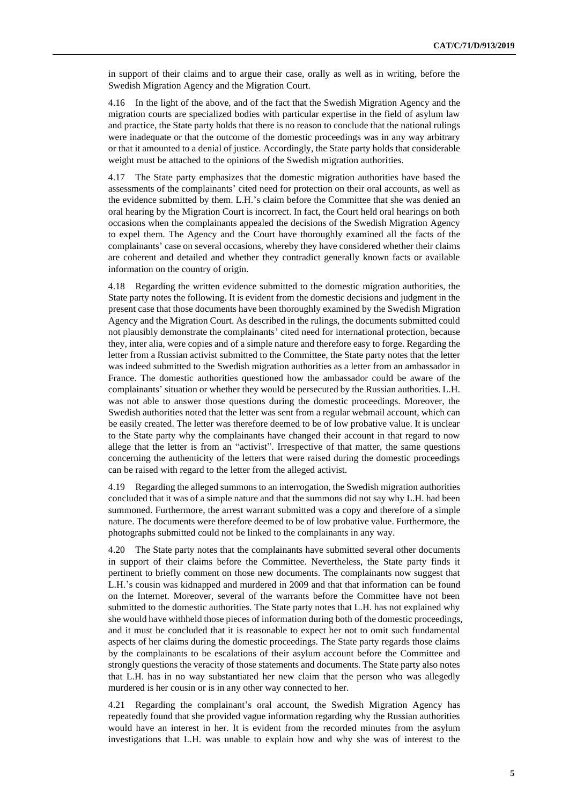in support of their claims and to argue their case, orally as well as in writing, before the Swedish Migration Agency and the Migration Court.

4.16 In the light of the above, and of the fact that the Swedish Migration Agency and the migration courts are specialized bodies with particular expertise in the field of asylum law and practice, the State party holds that there is no reason to conclude that the national rulings were inadequate or that the outcome of the domestic proceedings was in any way arbitrary or that it amounted to a denial of justice. Accordingly, the State party holds that considerable weight must be attached to the opinions of the Swedish migration authorities.

4.17 The State party emphasizes that the domestic migration authorities have based the assessments of the complainants' cited need for protection on their oral accounts, as well as the evidence submitted by them. L.H.'s claim before the Committee that she was denied an oral hearing by the Migration Court is incorrect. In fact, the Court held oral hearings on both occasions when the complainants appealed the decisions of the Swedish Migration Agency to expel them. The Agency and the Court have thoroughly examined all the facts of the complainants' case on several occasions, whereby they have considered whether their claims are coherent and detailed and whether they contradict generally known facts or available information on the country of origin.

4.18 Regarding the written evidence submitted to the domestic migration authorities, the State party notes the following. It is evident from the domestic decisions and judgment in the present case that those documents have been thoroughly examined by the Swedish Migration Agency and the Migration Court. As described in the rulings, the documents submitted could not plausibly demonstrate the complainants' cited need for international protection, because they, inter alia, were copies and of a simple nature and therefore easy to forge. Regarding the letter from a Russian activist submitted to the Committee, the State party notes that the letter was indeed submitted to the Swedish migration authorities as a letter from an ambassador in France. The domestic authorities questioned how the ambassador could be aware of the complainants' situation or whether they would be persecuted by the Russian authorities. L.H. was not able to answer those questions during the domestic proceedings. Moreover, the Swedish authorities noted that the letter was sent from a regular webmail account, which can be easily created. The letter was therefore deemed to be of low probative value. It is unclear to the State party why the complainants have changed their account in that regard to now allege that the letter is from an "activist". Irrespective of that matter, the same questions concerning the authenticity of the letters that were raised during the domestic proceedings can be raised with regard to the letter from the alleged activist.

4.19 Regarding the alleged summons to an interrogation, the Swedish migration authorities concluded that it was of a simple nature and that the summons did not say why L.H. had been summoned. Furthermore, the arrest warrant submitted was a copy and therefore of a simple nature. The documents were therefore deemed to be of low probative value. Furthermore, the photographs submitted could not be linked to the complainants in any way.

4.20 The State party notes that the complainants have submitted several other documents in support of their claims before the Committee. Nevertheless, the State party finds it pertinent to briefly comment on those new documents. The complainants now suggest that L.H.'s cousin was kidnapped and murdered in 2009 and that that information can be found on the Internet. Moreover, several of the warrants before the Committee have not been submitted to the domestic authorities. The State party notes that L.H. has not explained why she would have withheld those pieces of information during both of the domestic proceedings, and it must be concluded that it is reasonable to expect her not to omit such fundamental aspects of her claims during the domestic proceedings. The State party regards those claims by the complainants to be escalations of their asylum account before the Committee and strongly questions the veracity of those statements and documents. The State party also notes that L.H. has in no way substantiated her new claim that the person who was allegedly murdered is her cousin or is in any other way connected to her.

4.21 Regarding the complainant's oral account, the Swedish Migration Agency has repeatedly found that she provided vague information regarding why the Russian authorities would have an interest in her. It is evident from the recorded minutes from the asylum investigations that L.H. was unable to explain how and why she was of interest to the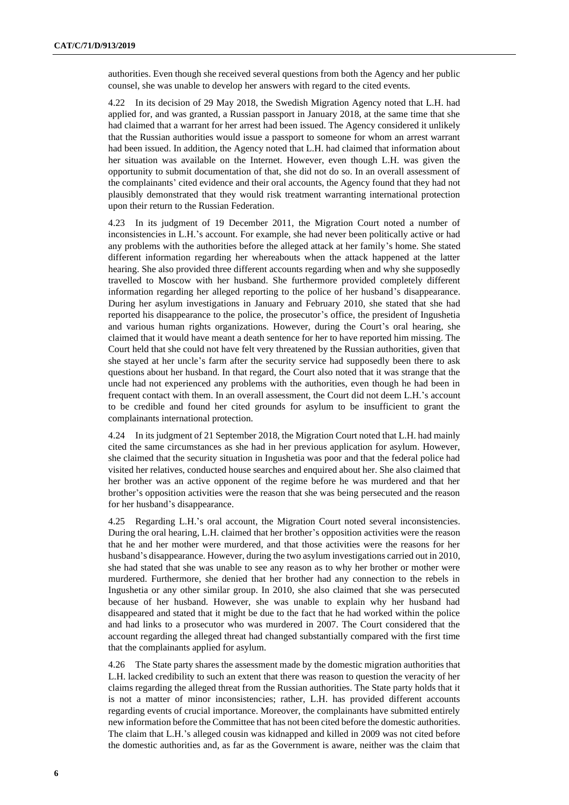authorities. Even though she received several questions from both the Agency and her public counsel, she was unable to develop her answers with regard to the cited events.

4.22 In its decision of 29 May 2018, the Swedish Migration Agency noted that L.H. had applied for, and was granted, a Russian passport in January 2018, at the same time that she had claimed that a warrant for her arrest had been issued. The Agency considered it unlikely that the Russian authorities would issue a passport to someone for whom an arrest warrant had been issued. In addition, the Agency noted that L.H. had claimed that information about her situation was available on the Internet. However, even though L.H. was given the opportunity to submit documentation of that, she did not do so. In an overall assessment of the complainants' cited evidence and their oral accounts, the Agency found that they had not plausibly demonstrated that they would risk treatment warranting international protection upon their return to the Russian Federation.

4.23 In its judgment of 19 December 2011, the Migration Court noted a number of inconsistencies in L.H.'s account. For example, she had never been politically active or had any problems with the authorities before the alleged attack at her family's home. She stated different information regarding her whereabouts when the attack happened at the latter hearing. She also provided three different accounts regarding when and why she supposedly travelled to Moscow with her husband. She furthermore provided completely different information regarding her alleged reporting to the police of her husband's disappearance. During her asylum investigations in January and February 2010, she stated that she had reported his disappearance to the police, the prosecutor's office, the president of Ingushetia and various human rights organizations. However, during the Court's oral hearing, she claimed that it would have meant a death sentence for her to have reported him missing. The Court held that she could not have felt very threatened by the Russian authorities, given that she stayed at her uncle's farm after the security service had supposedly been there to ask questions about her husband. In that regard, the Court also noted that it was strange that the uncle had not experienced any problems with the authorities, even though he had been in frequent contact with them. In an overall assessment, the Court did not deem L.H.'s account to be credible and found her cited grounds for asylum to be insufficient to grant the complainants international protection.

4.24 In its judgment of 21 September 2018, the Migration Court noted that L.H. had mainly cited the same circumstances as she had in her previous application for asylum. However, she claimed that the security situation in Ingushetia was poor and that the federal police had visited her relatives, conducted house searches and enquired about her. She also claimed that her brother was an active opponent of the regime before he was murdered and that her brother's opposition activities were the reason that she was being persecuted and the reason for her husband's disappearance.

4.25 Regarding L.H.'s oral account, the Migration Court noted several inconsistencies. During the oral hearing, L.H. claimed that her brother's opposition activities were the reason that he and her mother were murdered, and that those activities were the reasons for her husband's disappearance. However, during the two asylum investigations carried out in 2010, she had stated that she was unable to see any reason as to why her brother or mother were murdered. Furthermore, she denied that her brother had any connection to the rebels in Ingushetia or any other similar group. In 2010, she also claimed that she was persecuted because of her husband. However, she was unable to explain why her husband had disappeared and stated that it might be due to the fact that he had worked within the police and had links to a prosecutor who was murdered in 2007. The Court considered that the account regarding the alleged threat had changed substantially compared with the first time that the complainants applied for asylum.

4.26 The State party shares the assessment made by the domestic migration authorities that L.H. lacked credibility to such an extent that there was reason to question the veracity of her claims regarding the alleged threat from the Russian authorities. The State party holds that it is not a matter of minor inconsistencies; rather, L.H. has provided different accounts regarding events of crucial importance. Moreover, the complainants have submitted entirely new information before the Committee that has not been cited before the domestic authorities. The claim that L.H.'s alleged cousin was kidnapped and killed in 2009 was not cited before the domestic authorities and, as far as the Government is aware, neither was the claim that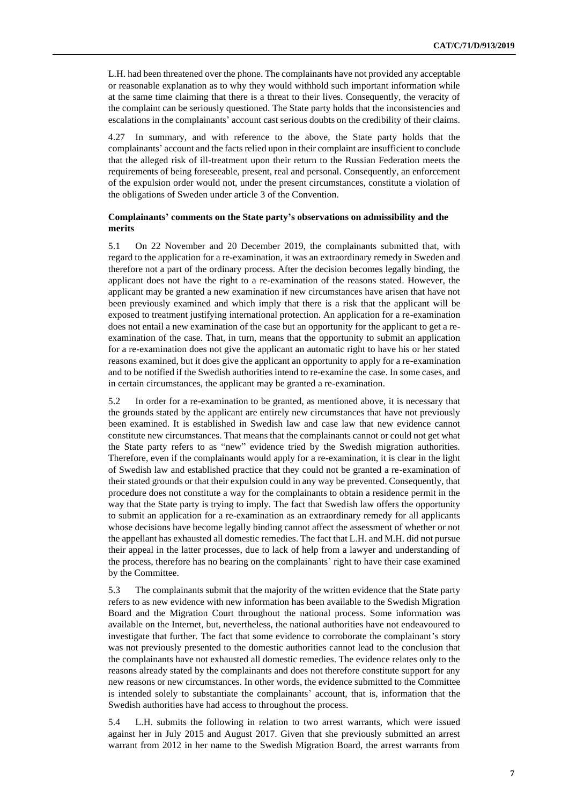L.H. had been threatened over the phone. The complainants have not provided any acceptable or reasonable explanation as to why they would withhold such important information while at the same time claiming that there is a threat to their lives. Consequently, the veracity of the complaint can be seriously questioned. The State party holds that the inconsistencies and escalations in the complainants' account cast serious doubts on the credibility of their claims.

4.27 In summary, and with reference to the above, the State party holds that the complainants' account and the facts relied upon in their complaint are insufficient to conclude that the alleged risk of ill-treatment upon their return to the Russian Federation meets the requirements of being foreseeable, present, real and personal. Consequently, an enforcement of the expulsion order would not, under the present circumstances, constitute a violation of the obligations of Sweden under article 3 of the Convention.

## **Complainants' comments on the State party's observations on admissibility and the merits**

5.1 On 22 November and 20 December 2019, the complainants submitted that, with regard to the application for a re-examination, it was an extraordinary remedy in Sweden and therefore not a part of the ordinary process. After the decision becomes legally binding, the applicant does not have the right to a re-examination of the reasons stated. However, the applicant may be granted a new examination if new circumstances have arisen that have not been previously examined and which imply that there is a risk that the applicant will be exposed to treatment justifying international protection. An application for a re-examination does not entail a new examination of the case but an opportunity for the applicant to get a reexamination of the case. That, in turn, means that the opportunity to submit an application for a re-examination does not give the applicant an automatic right to have his or her stated reasons examined, but it does give the applicant an opportunity to apply for a re-examination and to be notified if the Swedish authorities intend to re-examine the case. In some cases, and in certain circumstances, the applicant may be granted a re-examination.

5.2 In order for a re-examination to be granted, as mentioned above, it is necessary that the grounds stated by the applicant are entirely new circumstances that have not previously been examined. It is established in Swedish law and case law that new evidence cannot constitute new circumstances. That means that the complainants cannot or could not get what the State party refers to as "new" evidence tried by the Swedish migration authorities. Therefore, even if the complainants would apply for a re-examination, it is clear in the light of Swedish law and established practice that they could not be granted a re-examination of their stated grounds or that their expulsion could in any way be prevented. Consequently, that procedure does not constitute a way for the complainants to obtain a residence permit in the way that the State party is trying to imply. The fact that Swedish law offers the opportunity to submit an application for a re-examination as an extraordinary remedy for all applicants whose decisions have become legally binding cannot affect the assessment of whether or not the appellant has exhausted all domestic remedies. The fact that L.H. and M.H. did not pursue their appeal in the latter processes, due to lack of help from a lawyer and understanding of the process, therefore has no bearing on the complainants' right to have their case examined by the Committee.

5.3 The complainants submit that the majority of the written evidence that the State party refers to as new evidence with new information has been available to the Swedish Migration Board and the Migration Court throughout the national process. Some information was available on the Internet, but, nevertheless, the national authorities have not endeavoured to investigate that further. The fact that some evidence to corroborate the complainant's story was not previously presented to the domestic authorities cannot lead to the conclusion that the complainants have not exhausted all domestic remedies. The evidence relates only to the reasons already stated by the complainants and does not therefore constitute support for any new reasons or new circumstances. In other words, the evidence submitted to the Committee is intended solely to substantiate the complainants' account, that is, information that the Swedish authorities have had access to throughout the process.

5.4 L.H. submits the following in relation to two arrest warrants, which were issued against her in July 2015 and August 2017. Given that she previously submitted an arrest warrant from 2012 in her name to the Swedish Migration Board, the arrest warrants from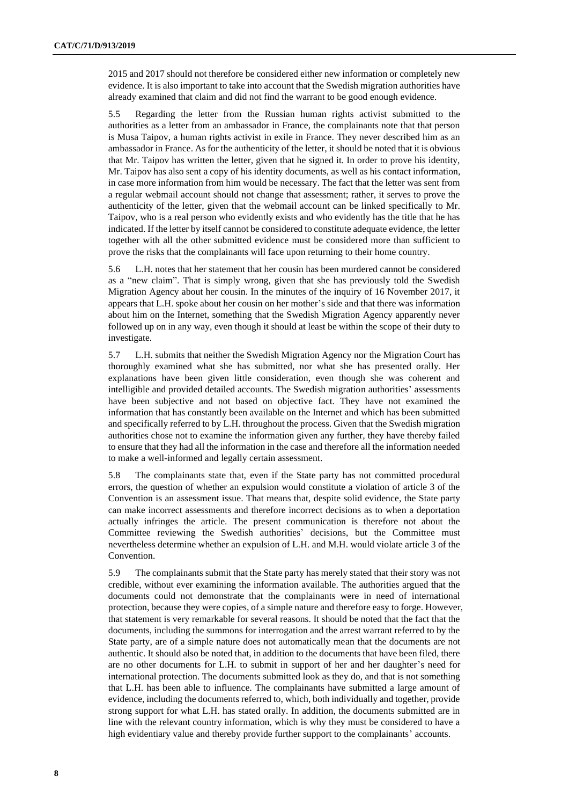2015 and 2017 should not therefore be considered either new information or completely new evidence. It is also important to take into account that the Swedish migration authorities have already examined that claim and did not find the warrant to be good enough evidence.

5.5 Regarding the letter from the Russian human rights activist submitted to the authorities as a letter from an ambassador in France, the complainants note that that person is Musa Taipov, a human rights activist in exile in France. They never described him as an ambassador in France. As for the authenticity of the letter, it should be noted that it is obvious that Mr. Taipov has written the letter, given that he signed it. In order to prove his identity, Mr. Taipov has also sent a copy of his identity documents, as well as his contact information, in case more information from him would be necessary. The fact that the letter was sent from a regular webmail account should not change that assessment; rather, it serves to prove the authenticity of the letter, given that the webmail account can be linked specifically to Mr. Taipov, who is a real person who evidently exists and who evidently has the title that he has indicated. If the letter by itself cannot be considered to constitute adequate evidence, the letter together with all the other submitted evidence must be considered more than sufficient to prove the risks that the complainants will face upon returning to their home country.

5.6 L.H. notes that her statement that her cousin has been murdered cannot be considered as a "new claim". That is simply wrong, given that she has previously told the Swedish Migration Agency about her cousin. In the minutes of the inquiry of 16 November 2017, it appears that L.H. spoke about her cousin on her mother's side and that there was information about him on the Internet, something that the Swedish Migration Agency apparently never followed up on in any way, even though it should at least be within the scope of their duty to investigate.

5.7 L.H. submits that neither the Swedish Migration Agency nor the Migration Court has thoroughly examined what she has submitted, nor what she has presented orally. Her explanations have been given little consideration, even though she was coherent and intelligible and provided detailed accounts. The Swedish migration authorities' assessments have been subjective and not based on objective fact. They have not examined the information that has constantly been available on the Internet and which has been submitted and specifically referred to by L.H. throughout the process. Given that the Swedish migration authorities chose not to examine the information given any further, they have thereby failed to ensure that they had all the information in the case and therefore all the information needed to make a well-informed and legally certain assessment.

5.8 The complainants state that, even if the State party has not committed procedural errors, the question of whether an expulsion would constitute a violation of article 3 of the Convention is an assessment issue. That means that, despite solid evidence, the State party can make incorrect assessments and therefore incorrect decisions as to when a deportation actually infringes the article. The present communication is therefore not about the Committee reviewing the Swedish authorities' decisions, but the Committee must nevertheless determine whether an expulsion of L.H. and M.H. would violate article 3 of the Convention.

5.9 The complainants submit that the State party has merely stated that their story was not credible, without ever examining the information available. The authorities argued that the documents could not demonstrate that the complainants were in need of international protection, because they were copies, of a simple nature and therefore easy to forge. However, that statement is very remarkable for several reasons. It should be noted that the fact that the documents, including the summons for interrogation and the arrest warrant referred to by the State party, are of a simple nature does not automatically mean that the documents are not authentic. It should also be noted that, in addition to the documents that have been filed, there are no other documents for L.H. to submit in support of her and her daughter's need for international protection. The documents submitted look as they do, and that is not something that L.H. has been able to influence. The complainants have submitted a large amount of evidence, including the documents referred to, which, both individually and together, provide strong support for what L.H. has stated orally. In addition, the documents submitted are in line with the relevant country information, which is why they must be considered to have a high evidentiary value and thereby provide further support to the complainants' accounts.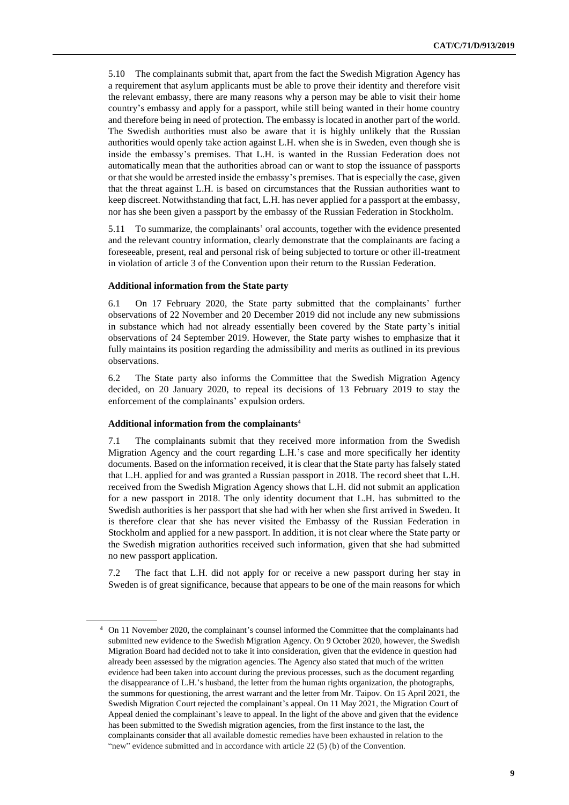5.10 The complainants submit that, apart from the fact the Swedish Migration Agency has a requirement that asylum applicants must be able to prove their identity and therefore visit the relevant embassy, there are many reasons why a person may be able to visit their home country's embassy and apply for a passport, while still being wanted in their home country and therefore being in need of protection. The embassy is located in another part of the world. The Swedish authorities must also be aware that it is highly unlikely that the Russian authorities would openly take action against L.H. when she is in Sweden, even though she is inside the embassy's premises. That L.H. is wanted in the Russian Federation does not automatically mean that the authorities abroad can or want to stop the issuance of passports or that she would be arrested inside the embassy's premises. That is especially the case, given that the threat against L.H. is based on circumstances that the Russian authorities want to keep discreet. Notwithstanding that fact, L.H. has never applied for a passport at the embassy, nor has she been given a passport by the embassy of the Russian Federation in Stockholm.

5.11 To summarize, the complainants' oral accounts, together with the evidence presented and the relevant country information, clearly demonstrate that the complainants are facing a foreseeable, present, real and personal risk of being subjected to torture or other ill-treatment in violation of article 3 of the Convention upon their return to the Russian Federation.

### **Additional information from the State party**

6.1 On 17 February 2020, the State party submitted that the complainants' further observations of 22 November and 20 December 2019 did not include any new submissions in substance which had not already essentially been covered by the State party's initial observations of 24 September 2019. However, the State party wishes to emphasize that it fully maintains its position regarding the admissibility and merits as outlined in its previous observations.

6.2 The State party also informs the Committee that the Swedish Migration Agency decided, on 20 January 2020, to repeal its decisions of 13 February 2019 to stay the enforcement of the complainants' expulsion orders.

### **Additional information from the complainants**<sup>4</sup>

7.1 The complainants submit that they received more information from the Swedish Migration Agency and the court regarding L.H.'s case and more specifically her identity documents. Based on the information received, it is clear that the State party has falsely stated that L.H. applied for and was granted a Russian passport in 2018. The record sheet that L.H. received from the Swedish Migration Agency shows that L.H. did not submit an application for a new passport in 2018. The only identity document that L.H. has submitted to the Swedish authorities is her passport that she had with her when she first arrived in Sweden. It is therefore clear that she has never visited the Embassy of the Russian Federation in Stockholm and applied for a new passport. In addition, it is not clear where the State party or the Swedish migration authorities received such information, given that she had submitted no new passport application.

7.2 The fact that L.H. did not apply for or receive a new passport during her stay in Sweden is of great significance, because that appears to be one of the main reasons for which

<sup>4</sup> On 11 November 2020, the complainant's counsel informed the Committee that the complainants had submitted new evidence to the Swedish Migration Agency. On 9 October 2020, however, the Swedish Migration Board had decided not to take it into consideration, given that the evidence in question had already been assessed by the migration agencies. The Agency also stated that much of the written evidence had been taken into account during the previous processes, such as the document regarding the disappearance of L.H.'s husband, the letter from the human rights organization, the photographs, the summons for questioning, the arrest warrant and the letter from Mr. Taipov. On 15 April 2021, the Swedish Migration Court rejected the complainant's appeal. On 11 May 2021, the Migration Court of Appeal denied the complainant's leave to appeal. In the light of the above and given that the evidence has been submitted to the Swedish migration agencies, from the first instance to the last, the complainants consider that all available domestic remedies have been exhausted in relation to the "new" evidence submitted and in accordance with article 22 (5) (b) of the Convention.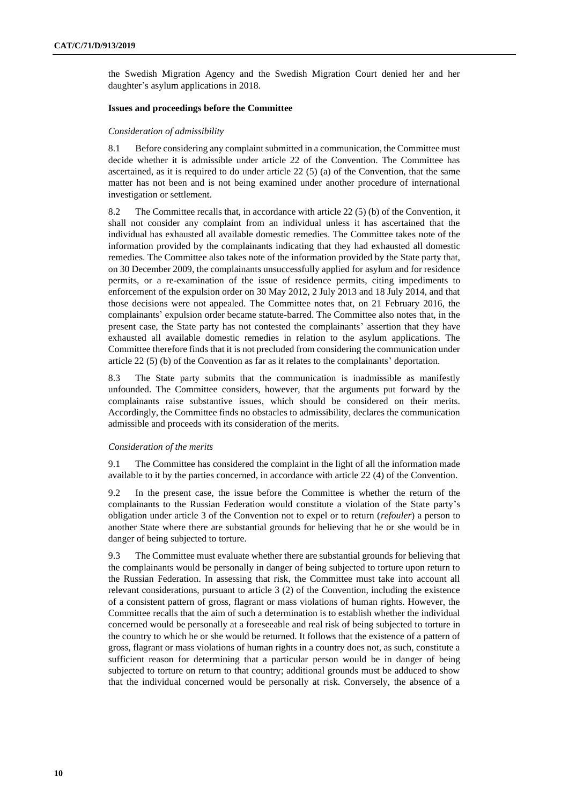the Swedish Migration Agency and the Swedish Migration Court denied her and her daughter's asylum applications in 2018.

### **Issues and proceedings before the Committee**

#### *Consideration of admissibility*

8.1 Before considering any complaint submitted in a communication, the Committee must decide whether it is admissible under article 22 of the Convention. The Committee has ascertained, as it is required to do under article 22 (5) (a) of the Convention, that the same matter has not been and is not being examined under another procedure of international investigation or settlement.

8.2 The Committee recalls that, in accordance with article 22 (5) (b) of the Convention, it shall not consider any complaint from an individual unless it has ascertained that the individual has exhausted all available domestic remedies. The Committee takes note of the information provided by the complainants indicating that they had exhausted all domestic remedies. The Committee also takes note of the information provided by the State party that, on 30 December 2009, the complainants unsuccessfully applied for asylum and for residence permits, or a re-examination of the issue of residence permits, citing impediments to enforcement of the expulsion order on 30 May 2012, 2 July 2013 and 18 July 2014, and that those decisions were not appealed. The Committee notes that, on 21 February 2016, the complainants' expulsion order became statute-barred. The Committee also notes that, in the present case, the State party has not contested the complainants' assertion that they have exhausted all available domestic remedies in relation to the asylum applications. The Committee therefore finds that it is not precluded from considering the communication under article 22 (5) (b) of the Convention as far as it relates to the complainants' deportation.

8.3 The State party submits that the communication is inadmissible as manifestly unfounded. The Committee considers, however, that the arguments put forward by the complainants raise substantive issues, which should be considered on their merits. Accordingly, the Committee finds no obstacles to admissibility, declares the communication admissible and proceeds with its consideration of the merits.

#### *Consideration of the merits*

9.1 The Committee has considered the complaint in the light of all the information made available to it by the parties concerned, in accordance with article 22 (4) of the Convention.

9.2 In the present case, the issue before the Committee is whether the return of the complainants to the Russian Federation would constitute a violation of the State party's obligation under article 3 of the Convention not to expel or to return (*refouler*) a person to another State where there are substantial grounds for believing that he or she would be in danger of being subjected to torture.

9.3 The Committee must evaluate whether there are substantial grounds for believing that the complainants would be personally in danger of being subjected to torture upon return to the Russian Federation. In assessing that risk, the Committee must take into account all relevant considerations, pursuant to article 3 (2) of the Convention, including the existence of a consistent pattern of gross, flagrant or mass violations of human rights. However, the Committee recalls that the aim of such a determination is to establish whether the individual concerned would be personally at a foreseeable and real risk of being subjected to torture in the country to which he or she would be returned. It follows that the existence of a pattern of gross, flagrant or mass violations of human rights in a country does not, as such, constitute a sufficient reason for determining that a particular person would be in danger of being subjected to torture on return to that country; additional grounds must be adduced to show that the individual concerned would be personally at risk. Conversely, the absence of a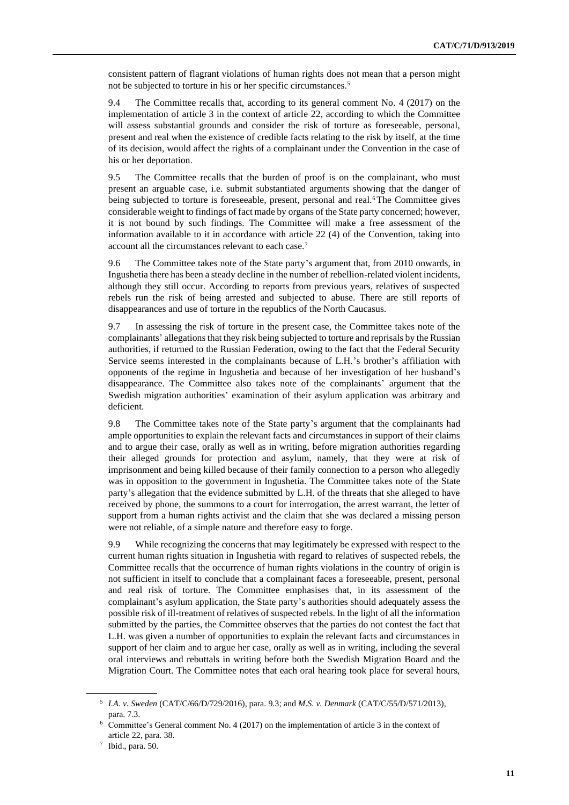consistent pattern of flagrant violations of human rights does not mean that a person might not be subjected to torture in his or her specific circumstances.<sup>5</sup>

9.4 The Committee recalls that, according to its general comment No. 4 (2017) on the implementation of article 3 in the context of article 22, according to which the Committee will assess substantial grounds and consider the risk of torture as foreseeable, personal, present and real when the existence of credible facts relating to the risk by itself, at the time of its decision, would affect the rights of a complainant under the Convention in the case of his or her deportation.

9.5 The Committee recalls that the burden of proof is on the complainant, who must present an arguable case, i.e. submit substantiated arguments showing that the danger of being subjected to torture is foreseeable, present, personal and real.<sup>6</sup> The Committee gives considerable weight to findings of fact made by organs of the State party concerned; however, it is not bound by such findings. The Committee will make a free assessment of the information available to it in accordance with article 22 (4) of the Convention, taking into account all the circumstances relevant to each case.<sup>7</sup>

9.6 The Committee takes note of the State party's argument that, from 2010 onwards, in Ingushetia there has been a steady decline in the number of rebellion-related violent incidents, although they still occur. According to reports from previous years, relatives of suspected rebels run the risk of being arrested and subjected to abuse. There are still reports of disappearances and use of torture in the republics of the North Caucasus.

9.7 In assessing the risk of torture in the present case, the Committee takes note of the complainants' allegations that they risk being subjected to torture and reprisals by the Russian authorities, if returned to the Russian Federation, owing to the fact that the Federal Security Service seems interested in the complainants because of L.H.'s brother's affiliation with opponents of the regime in Ingushetia and because of her investigation of her husband's disappearance. The Committee also takes note of the complainants' argument that the Swedish migration authorities' examination of their asylum application was arbitrary and deficient.

9.8 The Committee takes note of the State party's argument that the complainants had ample opportunities to explain the relevant facts and circumstances in support of their claims and to argue their case, orally as well as in writing, before migration authorities regarding their alleged grounds for protection and asylum, namely, that they were at risk of imprisonment and being killed because of their family connection to a person who allegedly was in opposition to the government in Ingushetia. The Committee takes note of the State party's allegation that the evidence submitted by L.H. of the threats that she alleged to have received by phone, the summons to a court for interrogation, the arrest warrant, the letter of support from a human rights activist and the claim that she was declared a missing person were not reliable, of a simple nature and therefore easy to forge.

9.9 While recognizing the concerns that may legitimately be expressed with respect to the current human rights situation in Ingushetia with regard to relatives of suspected rebels, the Committee recalls that the occurrence of human rights violations in the country of origin is not sufficient in itself to conclude that a complainant faces a foreseeable, present, personal and real risk of torture. The Committee emphasises that, in its assessment of the complainant's asylum application, the State party's authorities should adequately assess the possible risk of ill-treatment of relatives of suspected rebels. In the light of all the information submitted by the parties, the Committee observes that the parties do not contest the fact that L.H. was given a number of opportunities to explain the relevant facts and circumstances in support of her claim and to argue her case, orally as well as in writing, including the several oral interviews and rebuttals in writing before both the Swedish Migration Board and the Migration Court. The Committee notes that each oral hearing took place for several hours,

<sup>5</sup> *I.A. v. Sweden* (CAT/C/66/D/729/2016), para. 9.3; and *M.S. v. Denmark* (CAT/C/55/D/571/2013), para. 7.3.

<sup>6</sup> Committee's General comment No. 4 (2017) on the implementation of article 3 in the context of article 22, para. 38.

<sup>7</sup> Ibid., para. 50.